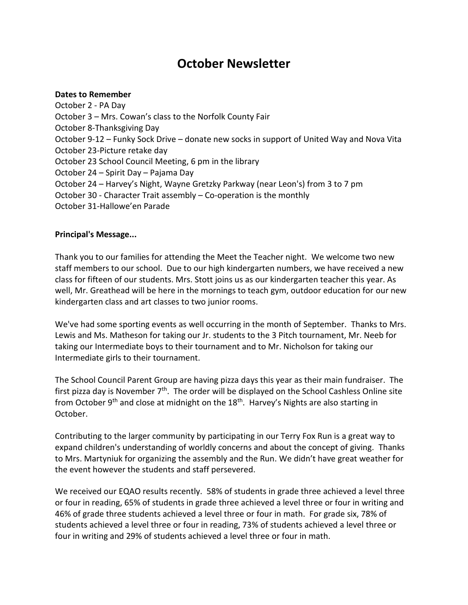# **October Newsletter**

#### **Dates to Remember**

October 2 - PA Day October 3 – Mrs. Cowan's class to the Norfolk County Fair October 8-Thanksgiving Day October 9-12 – Funky Sock Drive – donate new socks in support of United Way and Nova Vita October 23-Picture retake day October 23 School Council Meeting, 6 pm in the library October 24 – Spirit Day – Pajama Day October 24 – Harvey's Night, Wayne Gretzky Parkway (near Leon's) from 3 to 7 pm October 30 - Character Trait assembly – Co-operation is the monthly October 31-Hallowe'en Parade

## **Principal's Message...**

Thank you to our families for attending the Meet the Teacher night. We welcome two new staff members to our school. Due to our high kindergarten numbers, we have received a new class for fifteen of our students. Mrs. Stott joins us as our kindergarten teacher this year. As well, Mr. Greathead will be here in the mornings to teach gym, outdoor education for our new kindergarten class and art classes to two junior rooms.

We've had some sporting events as well occurring in the month of September. Thanks to Mrs. Lewis and Ms. Matheson for taking our Jr. students to the 3 Pitch tournament, Mr. Neeb for taking our Intermediate boys to their tournament and to Mr. Nicholson for taking our Intermediate girls to their tournament.

The School Council Parent Group are having pizza days this year as their main fundraiser. The first pizza day is November  $7<sup>th</sup>$ . The order will be displayed on the School Cashless Online site from October 9<sup>th</sup> and close at midnight on the 18<sup>th</sup>. Harvey's Nights are also starting in October.

Contributing to the larger community by participating in our Terry Fox Run is a great way to expand children's understanding of worldly concerns and about the concept of giving. Thanks to Mrs. Martyniuk for organizing the assembly and the Run. We didn't have great weather for the event however the students and staff persevered.

We received our EQAO results recently. 58% of students in grade three achieved a level three or four in reading, 65% of students in grade three achieved a level three or four in writing and 46% of grade three students achieved a level three or four in math. For grade six, 78% of students achieved a level three or four in reading, 73% of students achieved a level three or four in writing and 29% of students achieved a level three or four in math.